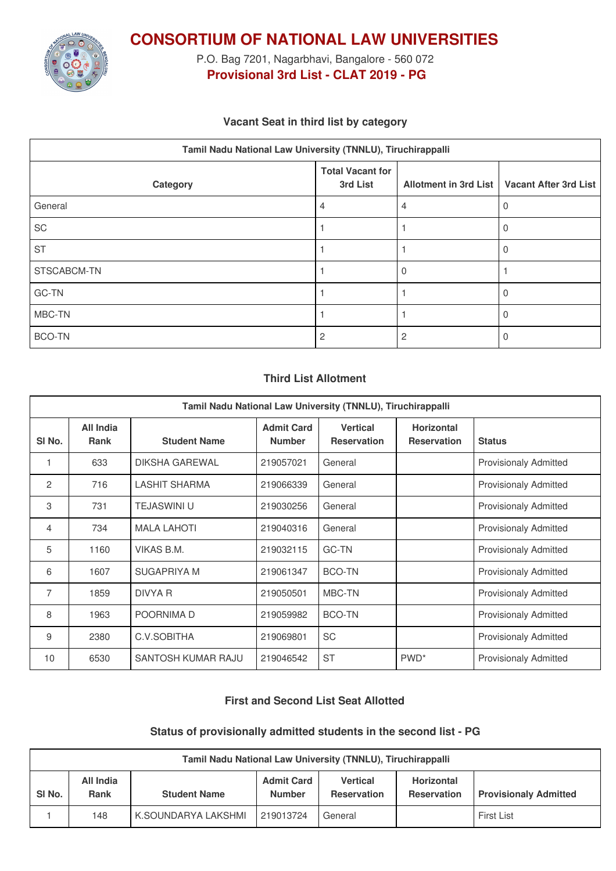

**CONSORTIUM OF NATIONAL LAW UNIVERSITIES**

P.O. Bag 7201, Nagarbhavi, Bangalore - 560 072 **Provisional 3rd List - CLAT 2019 - PG**

# **Vacant Seat in third list by category**

| Tamil Nadu National Law University (TNNLU), Tiruchirappalli |                                     |   |                                               |  |  |
|-------------------------------------------------------------|-------------------------------------|---|-----------------------------------------------|--|--|
| Category                                                    | <b>Total Vacant for</b><br>3rd List |   | Allotment in 3rd List   Vacant After 3rd List |  |  |
| General                                                     | 4                                   | 4 | U                                             |  |  |
| SC                                                          |                                     |   | $\Omega$                                      |  |  |
| <b>ST</b>                                                   |                                     |   | 0                                             |  |  |
| STSCABCM-TN                                                 |                                     |   |                                               |  |  |
| GC-TN                                                       |                                     |   |                                               |  |  |
| MBC-TN                                                      |                                     |   |                                               |  |  |
| <b>BCO-TN</b>                                               | 2                                   |   |                                               |  |  |

#### **Third List Allotment**

| Tamil Nadu National Law University (TNNLU), Tiruchirappalli |                                 |                       |                                    |                                       |                                         |                              |
|-------------------------------------------------------------|---------------------------------|-----------------------|------------------------------------|---------------------------------------|-----------------------------------------|------------------------------|
| SI No.                                                      | <b>All India</b><br><b>Rank</b> | <b>Student Name</b>   | <b>Admit Card</b><br><b>Number</b> | <b>Vertical</b><br><b>Reservation</b> | <b>Horizontal</b><br><b>Reservation</b> | <b>Status</b>                |
|                                                             | 633                             | <b>DIKSHA GAREWAL</b> | 219057021                          | General                               |                                         | <b>Provisionaly Admitted</b> |
| 2                                                           | 716                             | <b>LASHIT SHARMA</b>  | 219066339                          | General                               |                                         | <b>Provisionaly Admitted</b> |
| 3                                                           | 731                             | <b>TEJASWINI U</b>    | 219030256                          | General                               |                                         | <b>Provisionaly Admitted</b> |
| $\overline{4}$                                              | 734                             | <b>MALA LAHOTI</b>    | 219040316                          | General                               |                                         | <b>Provisionaly Admitted</b> |
| 5                                                           | 1160                            | <b>VIKAS B.M.</b>     | 219032115                          | <b>GC-TN</b>                          |                                         | Provisionaly Admitted        |
| 6                                                           | 1607                            | <b>SUGAPRIYA M</b>    | 219061347                          | <b>BCO-TN</b>                         |                                         | <b>Provisionaly Admitted</b> |
| 7                                                           | 1859                            | DIVYA R               | 219050501                          | MBC-TN                                |                                         | <b>Provisionaly Admitted</b> |
| 8                                                           | 1963                            | POORNIMA D            | 219059982                          | BCO-TN                                |                                         | <b>Provisionaly Admitted</b> |
| 9                                                           | 2380                            | C.V.SOBITHA           | 219069801                          | <b>SC</b>                             |                                         | Provisionaly Admitted        |
| 10                                                          | 6530                            | SANTOSH KUMAR RAJU    | 219046542                          | <b>ST</b>                             | PWD <sup>*</sup>                        | Provisionaly Admitted        |

#### **First and Second List Seat Allotted**

#### **Status of provisionally admitted students in the second list - PG**

| Tamil Nadu National Law University (TNNLU), Tiruchirappalli |                   |                     |                             |                                       |                                  |                              |
|-------------------------------------------------------------|-------------------|---------------------|-----------------------------|---------------------------------------|----------------------------------|------------------------------|
| SI <sub>No.</sub>                                           | All India<br>Rank | <b>Student Name</b> | <b>Admit Card</b><br>Number | <b>Vertical</b><br><b>Reservation</b> | Horizontal<br><b>Reservation</b> | <b>Provisionaly Admitted</b> |
|                                                             | 148               | K.SOUNDARYA LAKSHMI | 219013724                   | General                               |                                  | <b>First List</b>            |